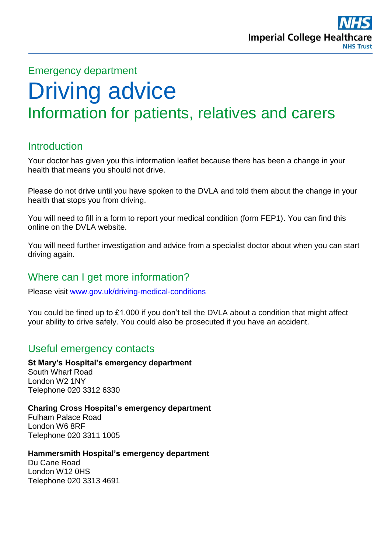

# Emergency department Driving advice Information for patients, relatives and carers

# **Introduction**

Your doctor has given you this information leaflet because there has been a change in your health that means you should not drive.

Please do not drive until you have spoken to the DVLA and told them about the change in your health that stops you from driving.

You will need to fill in a form to report your medical condition (form FEP1). You can find this online on the DVLA website.

You will need further investigation and advice from a specialist doctor about when you can start driving again.

# Where can I get more information?

Please visit <www.gov.uk/driving-medical-conditions>

You could be fined up to £1,000 if you don't tell the DVLA about a condition that might affect your ability to drive safely. You could also be prosecuted if you have an accident.

## Useful emergency contacts

**St Mary's Hospital's emergency department** South Wharf Road London W2 1NY Telephone 020 3312 6330

**Charing Cross Hospital's emergency department** Fulham Palace Road London W6 8RF Telephone 020 3311 1005

**Hammersmith Hospital's emergency department**

Du Cane Road London W12 0HS Telephone 020 3313 4691